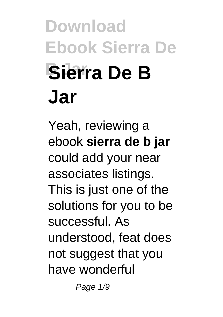# **Download Ebook Sierra De B Jar Sierra De B Jar**

Yeah, reviewing a ebook **sierra de b jar** could add your near associates listings. This is just one of the solutions for you to be successful. As understood, feat does not suggest that you have wonderful

Page 1/9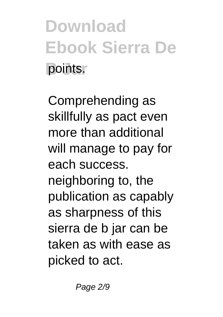**Download Ebook Sierra De boints.** 

Comprehending as skillfully as pact even more than additional will manage to pay for each success. neighboring to, the publication as capably as sharpness of this sierra de b jar can be taken as with ease as picked to act.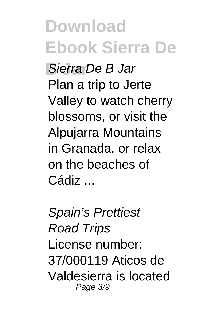**Download Ebook Sierra De B Jar** Sierra De B Jar Plan a trip to Jerte Valley to watch cherry blossoms, or visit the Alpujarra Mountains in Granada, or relax on the beaches of Cádiz ...

Spain's Prettiest Road Trips License number: 37/000119 Aticos de Valdesierra is located Page 3/9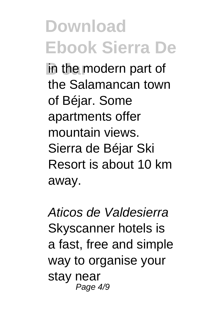**in the modern part of** the Salamancan town of Béjar. Some apartments offer mountain views. Sierra de Béjar Ski Resort is about 10 km away.

Aticos de Valdesierra Skyscanner hotels is a fast, free and simple way to organise your stay near Page 4/9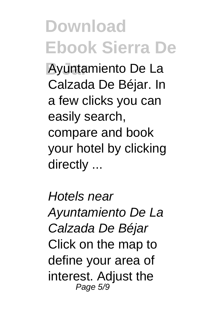**B Jar** Ayuntamiento De La Calzada De Béjar. In a few clicks you can easily search, compare and book your hotel by clicking directly ...

Hotels near Ayuntamiento De La Calzada De Béjar Click on the map to define your area of interest. Adjust the Page 5/9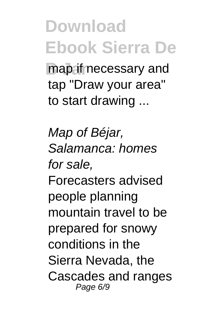map if necessary and tap "Draw your area" to start drawing ...

Map of Béjar, Salamanca: homes for sale, Forecasters advised people planning mountain travel to be prepared for snowy conditions in the Sierra Nevada, the Cascades and ranges Page 6/9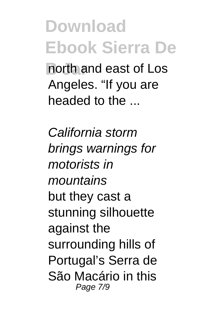**B Jar** north and east of Los Angeles. "If you are headed to the ...

California storm brings warnings for motorists in mountains but they cast a stunning silhouette against the surrounding hills of Portugal's Serra de São Macário in this Page 7/9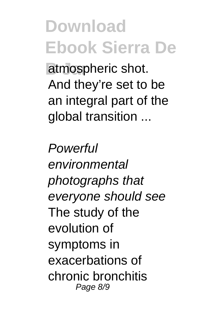atmospheric shot. And they're set to be an integral part of the global transition ...

**Powerful** environmental photographs that everyone should see The study of the evolution of symptoms in exacerbations of chronic bronchitis Page 8/9